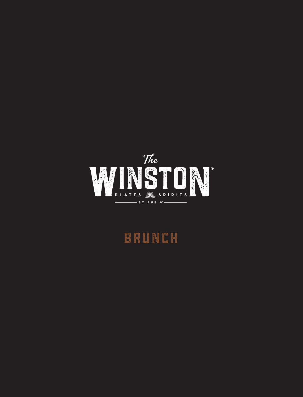

## BRUNCH